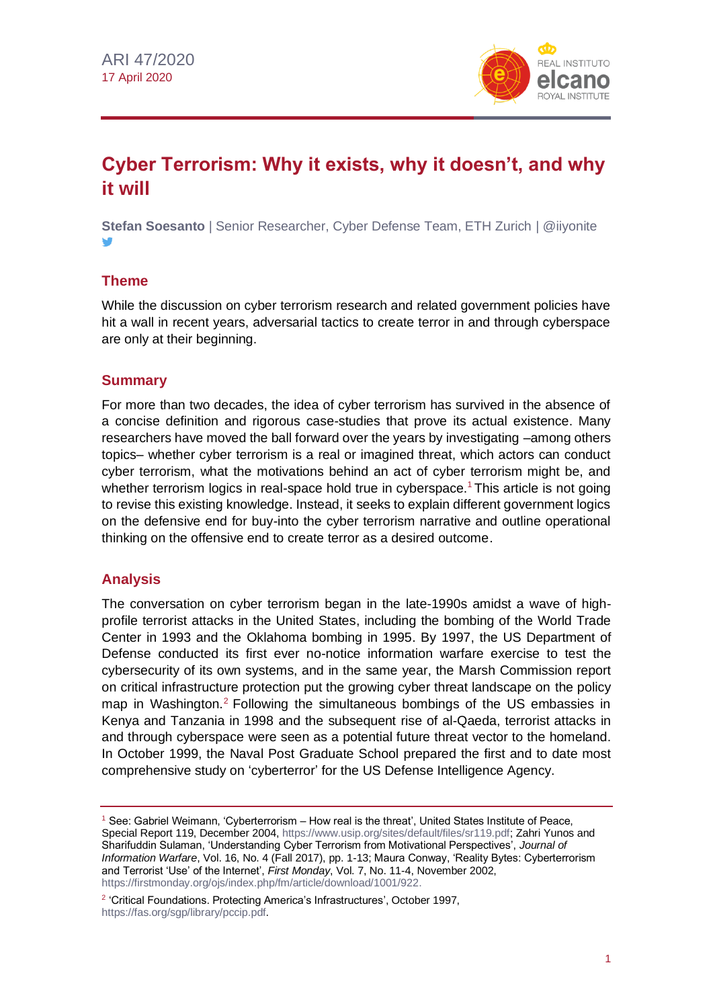

# **Cyber Terrorism: Why it exists, why it doesn't, and why it will**

**Stefan Soesanto** | Senior Researcher, Cyber Defense Team, ETH Zurich | @iiyonite

## **Theme**

While the discussion on cyber terrorism research and related government policies have hit a wall in recent years, adversarial tactics to create terror in and through cyberspace are only at their beginning.

#### **Summary**

For more than two decades, the idea of cyber terrorism has survived in the absence of a concise definition and rigorous case-studies that prove its actual existence. Many researchers have moved the ball forward over the years by investigating –among others topics– whether cyber terrorism is a real or imagined threat, which actors can conduct cyber terrorism, what the motivations behind an act of cyber terrorism might be, and whether terrorism logics in real-space hold true in cyberspace.<sup>1</sup> This article is not going to revise this existing knowledge. Instead, it seeks to explain different government logics on the defensive end for buy-into the cyber terrorism narrative and outline operational thinking on the offensive end to create terror as a desired outcome.

## **Analysis**

The conversation on cyber terrorism began in the late-1990s amidst a wave of highprofile terrorist attacks in the United States, including the bombing of the World Trade Center in 1993 and the Oklahoma bombing in 1995. By 1997, the US Department of Defense conducted its first ever no-notice information warfare exercise to test the cybersecurity of its own systems, and in the same year, the Marsh Commission report on critical infrastructure protection put the growing cyber threat landscape on the policy map in Washington.<sup>2</sup> Following the simultaneous bombings of the US embassies in Kenya and Tanzania in 1998 and the subsequent rise of al-Qaeda, terrorist attacks in and through cyberspace were seen as a potential future threat vector to the homeland. In October 1999, the Naval Post Graduate School prepared the first and to date most comprehensive study on 'cyberterror' for the US Defense Intelligence Agency.

<sup>1</sup> See: Gabriel Weimann, 'Cyberterrorism – How real is the threat', United States Institute of Peace, Special Report 119, December 2004, https://www.usip.org/sites/default/files/sr119.pdf: Zahri Yunos and Sharifuddin Sulaman, 'Understanding Cyber Terrorism from Motivational Perspectives', *Journal of Information Warfare*, Vol. 16, No. 4 (Fall 2017), pp. 1-13; Maura Conway, 'Reality Bytes: Cyberterrorism and Terrorist 'Use' of the Internet', *First Monday*, Vol. 7, No. 11-4, November 2002, [https://firstmonday.org/ojs/index.php/fm/article/download/1001/922.](https://firstmonday.org/ojs/index.php/fm/article/download/1001/922)

<sup>&</sup>lt;sup>2</sup> 'Critical Foundations. Protecting America's Infrastructures', October 1997, [https://fas.org/sgp/library/pccip.pdf.](https://fas.org/sgp/library/pccip.pdf)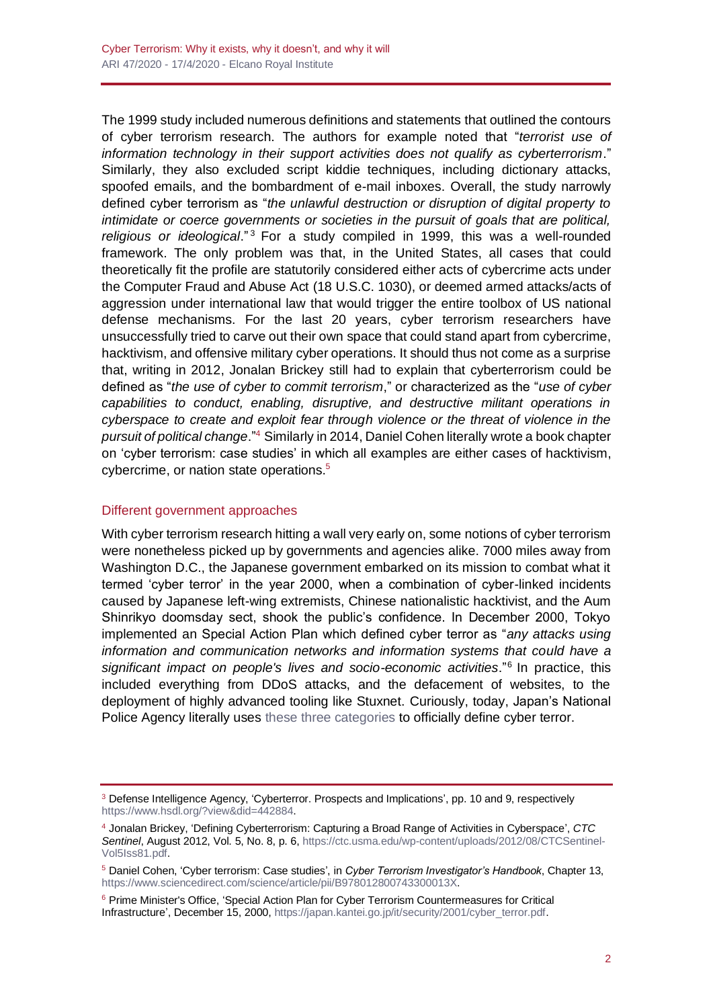The 1999 study included numerous definitions and statements that outlined the contours of cyber terrorism research. The authors for example noted that "*terrorist use of information technology in their support activities does not qualify as cyberterrorism*." Similarly, they also excluded script kiddie techniques, including dictionary attacks, spoofed emails, and the bombardment of e-mail inboxes. Overall, the study narrowly defined cyber terrorism as "*the unlawful destruction or disruption of digital property to intimidate or coerce governments or societies in the pursuit of goals that are political, religious or ideological*." <sup>3</sup> For a study compiled in 1999, this was a well-rounded framework. The only problem was that, in the United States, all cases that could theoretically fit the profile are statutorily considered either acts of cybercrime acts under the Computer Fraud and Abuse Act (18 U.S.C. 1030), or deemed armed attacks/acts of aggression under international law that would trigger the entire toolbox of US national defense mechanisms. For the last 20 years, cyber terrorism researchers have unsuccessfully tried to carve out their own space that could stand apart from cybercrime, hacktivism, and offensive military cyber operations. It should thus not come as a surprise that, writing in 2012, Jonalan Brickey still had to explain that cyberterrorism could be defined as "*the use of cyber to commit terrorism*," or characterized as the "*use of cyber capabilities to conduct, enabling, disruptive, and destructive militant operations in cyberspace to create and exploit fear through violence or the threat of violence in the pursuit of political change*."<sup>4</sup> Similarly in 2014, Daniel Cohen literally wrote a book chapter on 'cyber terrorism: case studies' in which all examples are either cases of hacktivism, cybercrime, or nation state operations.<sup>5</sup>

#### Different government approaches

With cyber terrorism research hitting a wall very early on, some notions of cyber terrorism were nonetheless picked up by governments and agencies alike. 7000 miles away from Washington D.C., the Japanese government embarked on its mission to combat what it termed 'cyber terror' in the year 2000, when a combination of cyber-linked incidents caused by Japanese left-wing extremists, Chinese nationalistic hacktivist, and the Aum Shinrikyo doomsday sect, shook the public's confidence. In December 2000, Tokyo implemented an Special Action Plan which defined cyber terror as "*any attacks using information and communication networks and information systems that could have a*  significant impact on people's lives and socio-economic activities."<sup>6</sup> In practice, this included everything from DDoS attacks, and the defacement of websites, to the deployment of highly advanced tooling like Stuxnet. Curiously, today, Japan's National Police Agency literally uses [these three categories](https://www.npa.go.jp/archive/keibi/syouten/syouten279/p04.html) to officially define cyber terror.

<sup>3</sup> Defense Intelligence Agency, 'Cyberterror. Prospects and Implications', pp. 10 and 9, respectively [https://www.hsdl.org/?view&did=442884.](https://www.hsdl.org/?view&did=442884)

<sup>4</sup> Jonalan Brickey, 'Defining Cyberterrorism: Capturing a Broad Range of Activities in Cyberspace', *CTC Sentinel*, August 2012, Vol. 5, No. 8, p. 6[, https://ctc.usma.edu/wp-content/uploads/2012/08/CTCSentinel-](https://ctc.usma.edu/wp-content/uploads/2012/08/CTCSentinel-Vol5Iss81.pdf)[Vol5Iss81.pdf.](https://ctc.usma.edu/wp-content/uploads/2012/08/CTCSentinel-Vol5Iss81.pdf)

<sup>5</sup> Daniel Cohen, 'Cyber terrorism: Case studies', in *Cyber Terrorism Investigator's Handbook*, Chapter 13, [https://www.sciencedirect.com/science/article/pii/B978012800743300013X.](https://www.sciencedirect.com/science/article/pii/B978012800743300013X)

<sup>6</sup> Prime Minister's Office, 'Special Action Plan for Cyber Terrorism Countermeasures for Critical Infrastructure', December 15, 2000, [https://japan.kantei.go.jp/it/security/2001/cyber\\_terror.pdf.](https://japan.kantei.go.jp/it/security/2001/cyber_terror.pdf)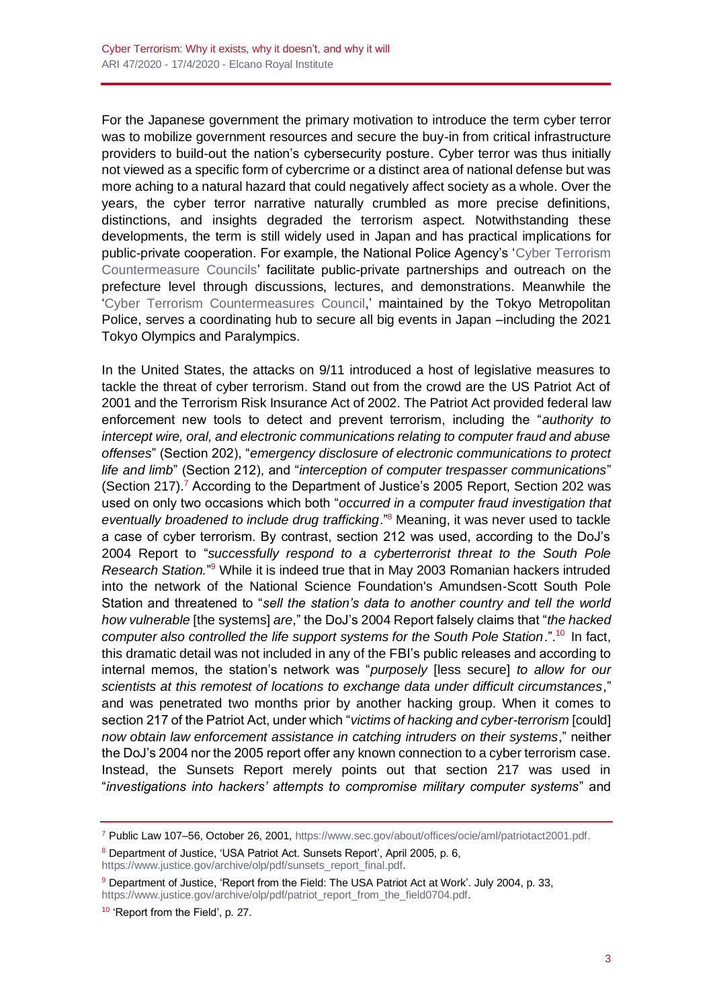For the Japanese government the primary motivation to introduce the term cyber terror was to mobilize government resources and secure the buy-in from critical infrastructure providers to build-out the nation's cybersecurity posture. Cyber terror was thus initially not viewed as a specific form of cybercrime or a distinct area of national defense but was more aching to a natural hazard that could negatively affect society as a whole. Over the years, the cyber terror narrative naturally crumbled as more precise definitions, distinctions, and insights degraded the terrorism aspect. Notwithstanding these developments, the term is still widely used in Japan and has practical implications for public-private cooperation. For example, the National Police Agency's ['Cyber Terrorism](https://www.npa.go.jp/archive/keibi/syouten/syouten285/pdf/01_6-9P.pdf)  [Countermeasure Councils'](https://www.npa.go.jp/archive/keibi/syouten/syouten285/pdf/01_6-9P.pdf) facilitate public-private partnerships and outreach on the prefecture level through discussions, lectures, and demonstrations. Meanwhile the ['Cyber Terrorism Countermeasures Council,](https://www.keishicho.metro.tokyo.jp/kurashi/cyber/katsudo/cyber/index.html)' maintained by the Tokyo Metropolitan Police, serves a coordinating hub to secure all big events in Japan –including the 2021 Tokyo Olympics and Paralympics.

In the United States, the attacks on 9/11 introduced a host of legislative measures to tackle the threat of cyber terrorism. Stand out from the crowd are the US Patriot Act of 2001 and the Terrorism Risk Insurance Act of 2002. The Patriot Act provided federal law enforcement new tools to detect and prevent terrorism, including the "*authority to intercept wire, oral, and electronic communications relating to computer fraud and abuse offenses*" (Section 202), "*emergency disclosure of electronic communications to protect life and limb*" (Section 212), and "*interception of computer trespasser communications*" (Section 217).<sup>7</sup> According to the Department of Justice's 2005 Report, Section 202 was used on only two occasions which both "*occurred in a computer fraud investigation that eventually broadened to include drug trafficking*."<sup>8</sup> Meaning, it was never used to tackle a case of cyber terrorism. By contrast, section 212 was used, according to the DoJ's 2004 Report to "*successfully respond to a cyberterrorist threat to the South Pole Research Station.*" <sup>9</sup> While it is indeed true that in May 2003 Romanian hackers intruded into the network of the National Science Foundation's Amundsen-Scott South Pole Station and threatened to "*sell the station's data to another country and tell the world how vulnerable* [the systems] *are*," the DoJ's 2004 Report falsely claims that "*the hacked*  computer also controlled the life support systems for the South Pole Station.".<sup>10</sup> In fact, this dramatic detail was not included in any of the FBI's public releases and according to internal memos, the station's network was "*purposely* [less secure] *to allow for our scientists at this remotest of locations to exchange data under difficult circumstances*," and was penetrated two months prior by another hacking group. When it comes to section 217 of the Patriot Act, under which "*victims of hacking and cyber-terrorism* [could] *now obtain law enforcement assistance in catching intruders on their systems*," neither the DoJ's 2004 nor the 2005 report offer any known connection to a cyber terrorism case. Instead, the Sunsets Report merely points out that section 217 was used in "*investigations into hackers' attempts to compromise military computer systems*" and

8 Department of Justice, 'USA Patriot Act. Sunsets Report', April 2005, p. 6,

[https://www.justice.gov/archive/olp/pdf/sunsets\\_report\\_final.pdf.](https://www.justice.gov/archive/olp/pdf/sunsets_report_final.pdf)

<sup>7</sup> Public Law 107–56, October 26, 2001, [https://www.sec.gov/about/offices/ocie/aml/patriotact2001.pdf.](https://www.sec.gov/about/offices/ocie/aml/patriotact2001.pdf)

<sup>9</sup> Department of Justice, 'Report from the Field: The USA Patriot Act at Work'. July 2004, p. 33, [https://www.justice.gov/archive/olp/pdf/patriot\\_report\\_from\\_the\\_field0704.pdf.](https://www.justice.gov/archive/olp/pdf/patriot_report_from_the_field0704.pdf)

<sup>10</sup> 'Report from the Field', p. 27.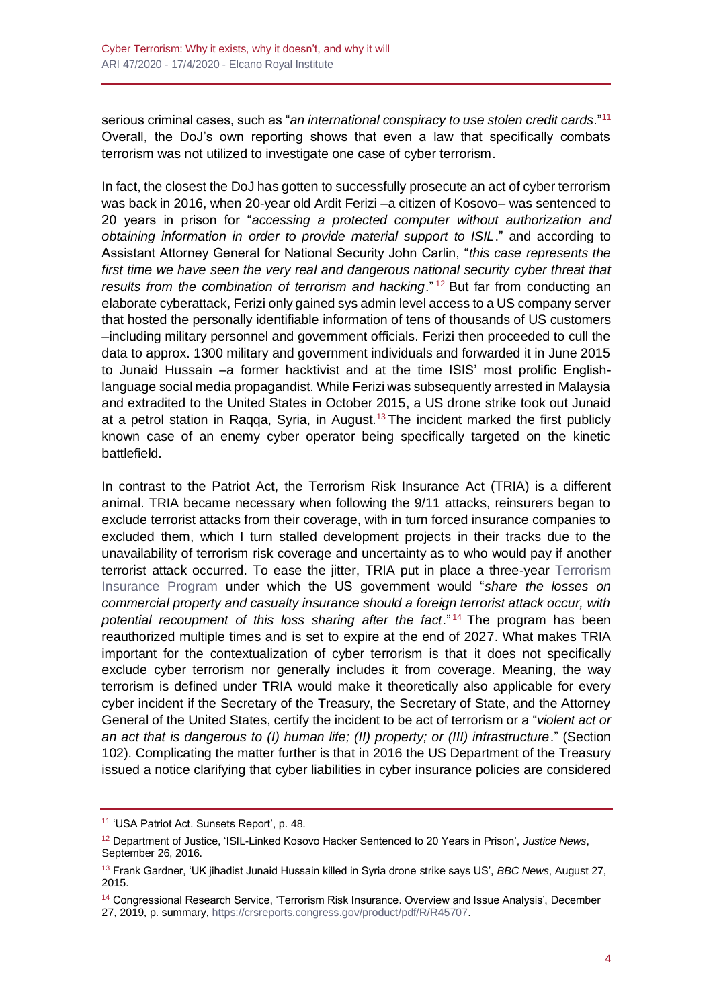serious criminal cases, such as "*an international conspiracy to use stolen credit cards*."<sup>11</sup> Overall, the DoJ's own reporting shows that even a law that specifically combats terrorism was not utilized to investigate one case of cyber terrorism.

In fact, the closest the DoJ has gotten to successfully prosecute an act of cyber terrorism was back in 2016, when 20-year old Ardit Ferizi –a citizen of Kosovo– was sentenced to 20 years in prison for "*accessing a protected computer without authorization and obtaining information in order to provide material support to ISIL*." and according to Assistant Attorney General for National Security John Carlin, "*this case represents the*  first time we have seen the very real and dangerous national security cyber threat that *results from the combination of terrorism and hacking*." <sup>12</sup> But far from conducting an elaborate cyberattack, Ferizi only gained sys admin level access to a US company server that hosted the personally identifiable information of tens of thousands of US customers –including military personnel and government officials. Ferizi then proceeded to cull the data to approx. 1300 military and government individuals and forwarded it in June 2015 to Junaid Hussain –a former hacktivist and at the time ISIS' most prolific Englishlanguage social media propagandist. While Ferizi was subsequently arrested in Malaysia and extradited to the United States in October 2015, a US drone strike took out Junaid at a petrol station in Raqqa, Syria, in August.<sup>13</sup> The incident marked the first publicly known case of an enemy cyber operator being specifically targeted on the kinetic battlefield.

In contrast to the Patriot Act, the Terrorism Risk Insurance Act (TRIA) is a different animal. TRIA became necessary when following the 9/11 attacks, reinsurers began to exclude terrorist attacks from their coverage, with in turn forced insurance companies to excluded them, which I turn stalled development projects in their tracks due to the unavailability of terrorism risk coverage and uncertainty as to who would pay if another terrorist attack occurred. To ease the jitter, TRIA put in place a three-year [Terrorism](https://www.treasury.gov/resource-center/fin-mkts/Documents/hr3210.pdf)  [Insurance Program](https://www.treasury.gov/resource-center/fin-mkts/Documents/hr3210.pdf) under which the US government would "*share the losses on commercial property and casualty insurance should a foreign terrorist attack occur, with potential recoupment of this loss sharing after the fact*." <sup>14</sup> The program has been reauthorized multiple times and is set to expire at the end of 2027. What makes TRIA important for the contextualization of cyber terrorism is that it does not specifically exclude cyber terrorism nor generally includes it from coverage. Meaning, the way terrorism is defined under TRIA would make it theoretically also applicable for every cyber incident if the Secretary of the Treasury, the Secretary of State, and the Attorney General of the United States, certify the incident to be act of terrorism or a "*violent act or an act that is dangerous to (I) human life; (II) property; or (III) infrastructure*." (Section 102). Complicating the matter further is that in 2016 the US Department of the Treasury issued a notice clarifying that cyber liabilities in cyber insurance policies are considered

<sup>11</sup> 'USA Patriot Act. Sunsets Report', p. 48.

<sup>12</sup> Department of Justice, 'ISIL-Linked Kosovo Hacker Sentenced to 20 Years in Prison', *Justice News*, September 26, 2016.

<sup>13</sup> Frank Gardner, 'UK jihadist Junaid Hussain killed in Syria drone strike says US', *BBC News*, August 27, 2015.

<sup>14</sup> Congressional Research Service, 'Terrorism Risk Insurance. Overview and Issue Analysis', December 27, 2019, p. summary, [https://crsreports.congress.gov/product/pdf/R/R45707.](https://crsreports.congress.gov/product/pdf/R/R45707)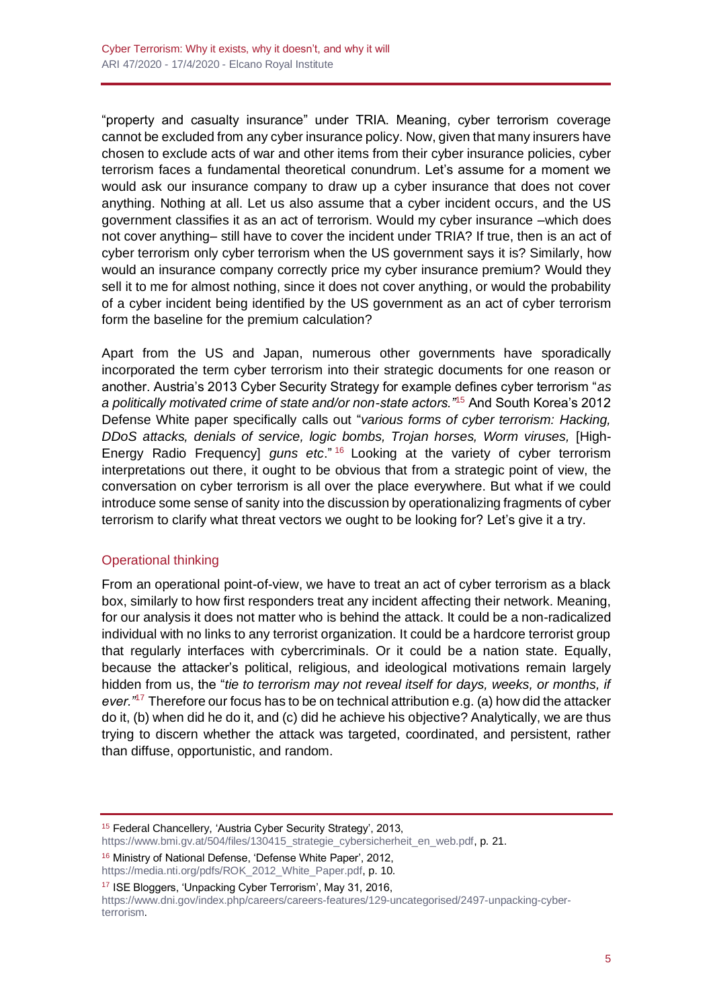"property and casualty insurance" under TRIA. Meaning, cyber terrorism coverage cannot be excluded from any cyber insurance policy. Now, given that many insurers have chosen to exclude acts of war and other items from their cyber insurance policies, cyber terrorism faces a fundamental theoretical conundrum. Let's assume for a moment we would ask our insurance company to draw up a cyber insurance that does not cover anything. Nothing at all. Let us also assume that a cyber incident occurs, and the US government classifies it as an act of terrorism. Would my cyber insurance –which does not cover anything– still have to cover the incident under TRIA? If true, then is an act of cyber terrorism only cyber terrorism when the US government says it is? Similarly, how would an insurance company correctly price my cyber insurance premium? Would they sell it to me for almost nothing, since it does not cover anything, or would the probability of a cyber incident being identified by the US government as an act of cyber terrorism form the baseline for the premium calculation?

Apart from the US and Japan, numerous other governments have sporadically incorporated the term cyber terrorism into their strategic documents for one reason or another. Austria's 2013 Cyber Security Strategy for example defines cyber terrorism "*as a politically motivated crime of state and/or non-state actors."*<sup>15</sup> And South Korea's 2012 Defense White paper specifically calls out "*various forms of cyber terrorism: Hacking, DDoS attacks, denials of service, logic bombs, Trojan horses, Worm viruses,* [High-Energy Radio Frequency] *guns etc*." <sup>16</sup> Looking at the variety of cyber terrorism interpretations out there, it ought to be obvious that from a strategic point of view, the conversation on cyber terrorism is all over the place everywhere. But what if we could introduce some sense of sanity into the discussion by operationalizing fragments of cyber terrorism to clarify what threat vectors we ought to be looking for? Let's give it a try.

## Operational thinking

From an operational point-of-view, we have to treat an act of cyber terrorism as a black box, similarly to how first responders treat any incident affecting their network. Meaning, for our analysis it does not matter who is behind the attack. It could be a non-radicalized individual with no links to any terrorist organization. It could be a hardcore terrorist group that regularly interfaces with cybercriminals. Or it could be a nation state. Equally, because the attacker's political, religious, and ideological motivations remain largely hidden from us, the "*tie to terrorism may not reveal itself for days, weeks, or months, if ever."*<sup>17</sup> Therefore our focus has to be on technical attribution e.g. (a) how did the attacker do it, (b) when did he do it, and (c) did he achieve his objective? Analytically, we are thus trying to discern whether the attack was targeted, coordinated, and persistent, rather than diffuse, opportunistic, and random.

<sup>16</sup> Ministry of National Defense, 'Defense White Paper', 2012, [https://media.nti.org/pdfs/ROK\\_2012\\_White\\_Paper.pdf,](https://media.nti.org/pdfs/ROK_2012_White_Paper.pdf) p. 10.

<sup>17</sup> ISE Bloggers, 'Unpacking Cyber Terrorism', May 31, 2016, [https://www.dni.gov/index.php/careers/careers-features/129-uncategorised/2497-unpacking-cyber](https://www.dni.gov/index.php/careers/careers-features/129-uncategorised/2497-unpacking-cyber-terrorism)[terrorism.](https://www.dni.gov/index.php/careers/careers-features/129-uncategorised/2497-unpacking-cyber-terrorism)

<sup>15</sup> Federal Chancellery, 'Austria Cyber Security Strategy', 2013, [https://www.bmi.gv.at/504/files/130415\\_strategie\\_cybersicherheit\\_en\\_web.pdf,](https://www.bmi.gv.at/504/files/130415_strategie_cybersicherheit_en_web.pdf) p. 21.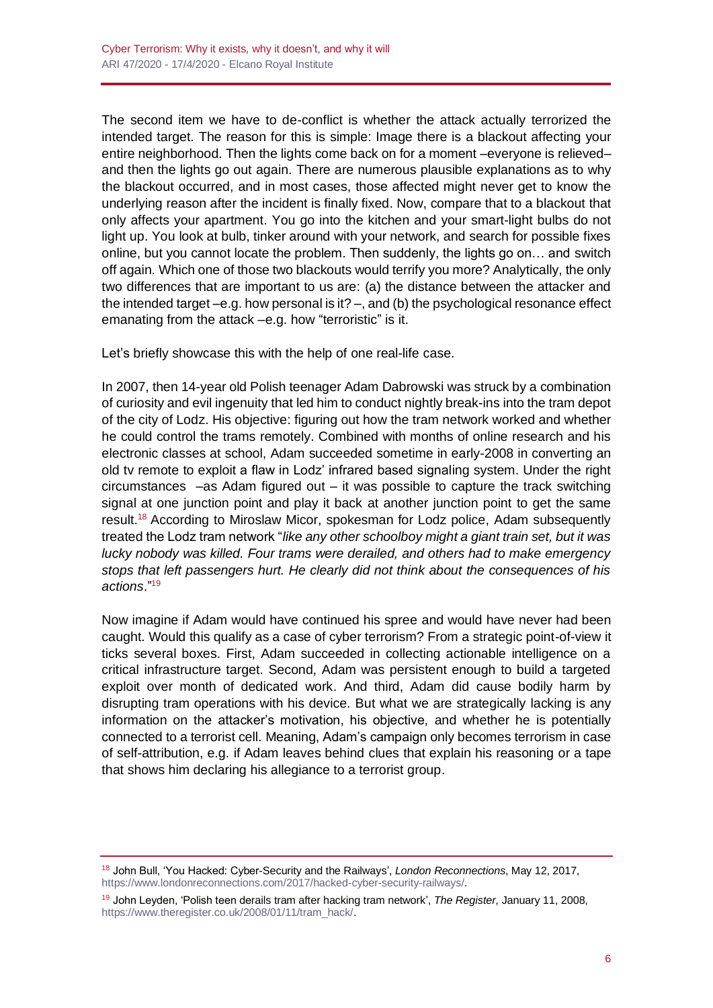The second item we have to de-conflict is whether the attack actually terrorized the intended target. The reason for this is simple: Image there is a blackout affecting your entire neighborhood. Then the lights come back on for a moment –everyone is relieved– and then the lights go out again. There are numerous plausible explanations as to why the blackout occurred, and in most cases, those affected might never get to know the underlying reason after the incident is finally fixed. Now, compare that to a blackout that only affects your apartment. You go into the kitchen and your smart-light bulbs do not light up. You look at bulb, tinker around with your network, and search for possible fixes online, but you cannot locate the problem. Then suddenly, the lights go on… and switch off again. Which one of those two blackouts would terrify you more? Analytically, the only two differences that are important to us are: (a) the distance between the attacker and the intended target  $-e.g.$  how personal is it?  $-$ , and (b) the psychological resonance effect emanating from the attack –e.g. how "terroristic" is it.

Let's briefly showcase this with the help of one real-life case.

In 2007, then 14-year old Polish teenager Adam Dabrowski was struck by a combination of curiosity and evil ingenuity that led him to conduct nightly break-ins into the tram depot of the city of Lodz. His objective: figuring out how the tram network worked and whether he could control the trams remotely. Combined with months of online research and his electronic classes at school, Adam succeeded sometime in early-2008 in converting an old tv remote to exploit a flaw in Lodz' infrared based signaling system. Under the right circumstances –as Adam figured out – it was possible to capture the track switching signal at one junction point and play it back at another junction point to get the same result.<sup>18</sup> According to Miroslaw Micor, spokesman for Lodz police, Adam subsequently treated the Lodz tram network "*like any other schoolboy might a giant train set, but it was lucky nobody was killed. Four trams were derailed, and others had to make emergency stops that left passengers hurt. He clearly did not think about the consequences of his actions*."<sup>19</sup>

Now imagine if Adam would have continued his spree and would have never had been caught. Would this qualify as a case of cyber terrorism? From a strategic point-of-view it ticks several boxes. First, Adam succeeded in collecting actionable intelligence on a critical infrastructure target. Second, Adam was persistent enough to build a targeted exploit over month of dedicated work. And third, Adam did cause bodily harm by disrupting tram operations with his device. But what we are strategically lacking is any information on the attacker's motivation, his objective, and whether he is potentially connected to a terrorist cell. Meaning, Adam's campaign only becomes terrorism in case of self-attribution, e.g. if Adam leaves behind clues that explain his reasoning or a tape that shows him declaring his allegiance to a terrorist group.

<sup>18</sup> John Bull, 'You Hacked: Cyber-Security and the Railways', *London Reconnections*, May 12, 2017, [https://www.londonreconnections.com/2017/hacked-cyber-security-railways/.](https://www.londonreconnections.com/2017/hacked-cyber-security-railways/)

<sup>19</sup> John Leyden, 'Polish teen derails tram after hacking tram network', *The Register*, January 11, 2008, [https://www.theregister.co.uk/2008/01/11/tram\\_hack/.](https://www.theregister.co.uk/2008/01/11/tram_hack/)